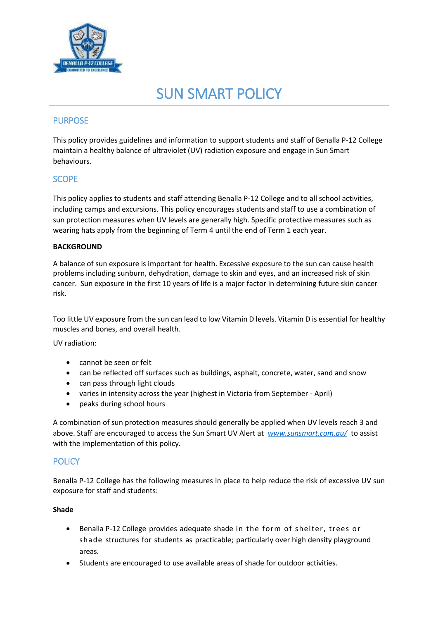

# SUN SMART POLICY

# PURPOSE

This policy provides guidelines and information to support students and staff of Benalla P-12 College maintain a healthy balance of ultraviolet (UV) radiation exposure and engage in Sun Smart behaviours.

# **SCOPE**

This policy applies to students and staff attending Benalla P-12 College and to all school activities, including camps and excursions. This policy encourages students and staff to use a combination of sun protection measures when UV levels are generally high. Specific protective measures such as wearing hats apply from the beginning of Term 4 until the end of Term 1 each year.

## **BACKGROUND**

A balance of sun exposure is important for health. Excessive exposure to the sun can cause health problems including sunburn, dehydration, damage to skin and eyes, and an increased risk of skin cancer. Sun exposure in the first 10 years of life is a major factor in determining future skin cancer risk.

Too little UV exposure from the sun can lead to low Vitamin D levels. Vitamin D is essential for healthy muscles and bones, and overall health.

UV radiation:

- cannot be seen or felt
- can be reflected off surfaces such as buildings, asphalt, concrete, water, sand and snow
- can pass through light clouds
- varies in intensity across the year (highest in Victoria from September April)
- peaks during school hours

A combination of sun protection measures should generally be applied when UV levels reach 3 and above. Staff are encouraged to access the Sun Smart UV Alert at *[www.sunsmart.com.au/](http://www.sunsmart.com.au/)* to assist with the implementation of this policy.

# **POLICY**

Benalla P-12 College has the following measures in place to help reduce the risk of excessive UV sun exposure for staff and students:

## **Shade**

- Benalla P-12 College provides adequate shade in the form of shelter, trees or shade structures for students as practicable; particularly over high density playground areas.
- Students are encouraged to use available areas of shade for outdoor activities.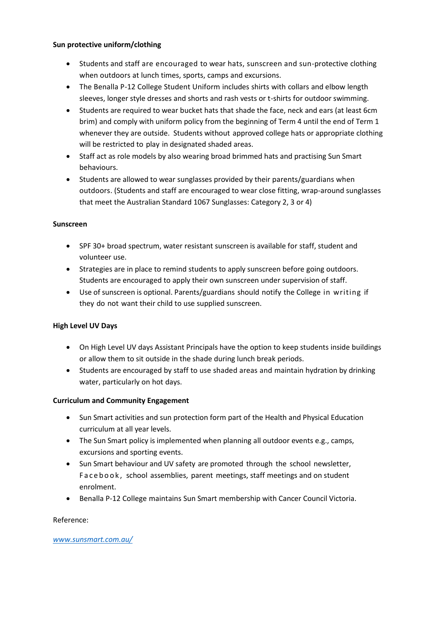#### **Sun protective uniform/clothing**

- Students and staff are encouraged to wear hats, sunscreen and sun-protective clothing when outdoors at lunch times, sports, camps and excursions.
- The Benalla P-12 College Student Uniform includes shirts with collars and elbow length sleeves, longer style dresses and shorts and rash vests or t-shirts for outdoor swimming.
- Students are required to wear bucket hats that shade the face, neck and ears (at least 6cm brim) and comply with uniform policy from the beginning of Term 4 until the end of Term 1 whenever they are outside. Students without approved college hats or appropriate clothing will be restricted to play in designated shaded areas.
- Staff act as role models by also wearing broad brimmed hats and practising Sun Smart behaviours.
- Students are allowed to wear sunglasses provided by their parents/guardians when outdoors. (Students and staff are encouraged to wear close fitting, wrap-around sunglasses that meet the Australian Standard 1067 Sunglasses: Category 2, 3 or 4)

#### **Sunscreen**

- SPF 30+ broad spectrum, water resistant sunscreen is available for staff, student and volunteer use.
- Strategies are in place to remind students to apply sunscreen before going outdoors. Students are encouraged to apply their own sunscreen under supervision of staff.
- Use of sunscreen is optional. Parents/guardians should notify the College in writing if they do not want their child to use supplied sunscreen.

## **High Level UV Days**

- On High Level UV days Assistant Principals have the option to keep students inside buildings or allow them to sit outside in the shade during lunch break periods.
- Students are encouraged by staff to use shaded areas and maintain hydration by drinking water, particularly on hot days.

## **Curriculum and Community Engagement**

- Sun Smart activities and sun protection form part of the Health and Physical Education curriculum at all year levels.
- The Sun Smart policy is implemented when planning all outdoor events e.g., camps, excursions and sporting events.
- Sun Smart behaviour and UV safety are promoted through the school newsletter, Facebook, school assemblies, parent meetings, staff meetings and on student enrolment.
- Benalla P-12 College maintains Sun Smart membership with Cancer Council Victoria.

#### Reference:

#### *[www.sunsmart.com.au/](http://www.sunsmart.com.au/)*